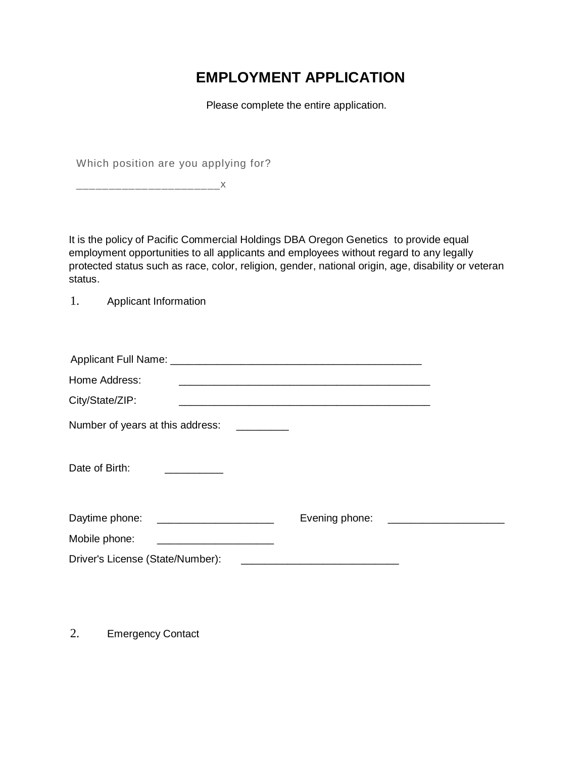## **EMPLOYMENT APPLICATION**

Please complete the entire application.

Which position are you applying for?

\_\_\_\_\_\_\_\_\_\_\_\_\_\_\_\_\_\_\_\_\_\_x

It is the policy of Pacific Commercial Holdings DBA Oregon Genetics to provide equal employment opportunities to all applicants and employees without regard to any legally protected status such as race, color, religion, gender, national origin, age, disability or veteran status.

1. Applicant Information

| Home Address:                                                                                                                           |                                                      | <u> 1989 - Johann Harry Harry Harry Harry Harry Harry Harry Harry Harry Harry Harry Harry Harry Harry Harry Harry</u> |                                      |
|-----------------------------------------------------------------------------------------------------------------------------------------|------------------------------------------------------|-----------------------------------------------------------------------------------------------------------------------|--------------------------------------|
| City/State/ZIP:                                                                                                                         |                                                      |                                                                                                                       |                                      |
| Number of years at this address:                                                                                                        |                                                      |                                                                                                                       |                                      |
| Date of Birth:<br><u> 1989 - John Harry Harry Harry Harry Harry Harry Harry Harry Harry Harry Harry Harry Harry Harry Harry Harry H</u> |                                                      |                                                                                                                       |                                      |
| Daytime phone: _____________________                                                                                                    |                                                      |                                                                                                                       | Evening phone: _____________________ |
| Mobile phone:                                                                                                                           | <u> 1980 - Jan Barnett, fransk politik (d. 1980)</u> |                                                                                                                       |                                      |
| Driver's License (State/Number):                                                                                                        |                                                      |                                                                                                                       |                                      |
|                                                                                                                                         |                                                      |                                                                                                                       |                                      |

2. Emergency Contact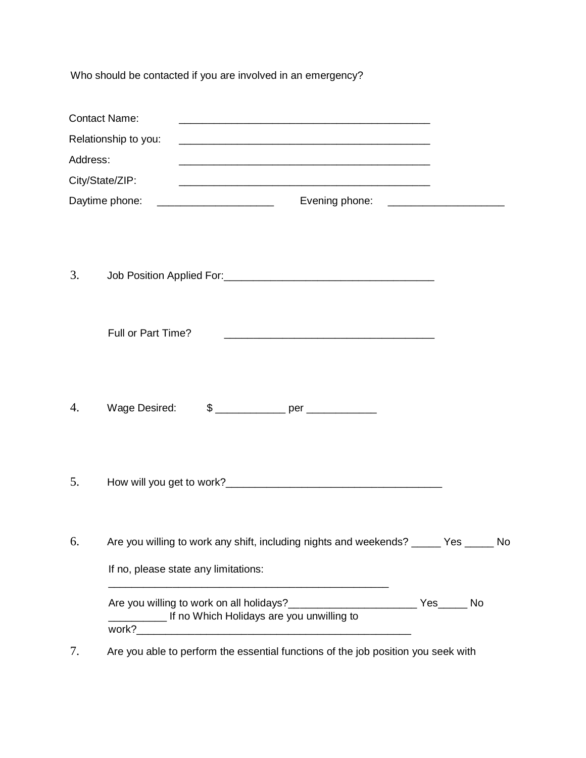Who should be contacted if you are involved in an emergency?

|                 | <b>Contact Name:</b><br><u> 1989 - Johann Harry Harry Harry Harry Harry Harry Harry Harry Harry Harry Harry Harry Harry Harry Harry Harry</u>                |  |  |
|-----------------|--------------------------------------------------------------------------------------------------------------------------------------------------------------|--|--|
|                 | Relationship to you:                                                                                                                                         |  |  |
| Address:        | <u> 1989 - Johann Harry Harry Harry Harry Harry Harry Harry Harry Harry Harry Harry Harry Harry Harry Harry Harry</u>                                        |  |  |
| City/State/ZIP: |                                                                                                                                                              |  |  |
|                 | Daytime phone:<br>Evening phone: ____________________                                                                                                        |  |  |
| 3.              |                                                                                                                                                              |  |  |
|                 | Full or Part Time?<br><u> 1989 - Johann John Stone, markin film yn y sefydlu yn y brenin y brenin y brenin y brenin y brenin y brenin y</u>                  |  |  |
| 4.              | Wage Desired:                                                                                                                                                |  |  |
| 5.              |                                                                                                                                                              |  |  |
| 6.              | Are you willing to work any shift, including nights and weekends? _____ Yes _____ No                                                                         |  |  |
|                 | If no, please state any limitations:<br><u> 1990 - Johann John Stone, mars et al. 1990 - John Stone, mars et al. 1990 - John Stone, mars et al. 1991 - 1</u> |  |  |
|                 | Are you willing to work on all holidays?___________________________ Yes______ No<br>If no Which Holidays are you unwilling to                                |  |  |

7. Are you able to perform the essential functions of the job position you seek with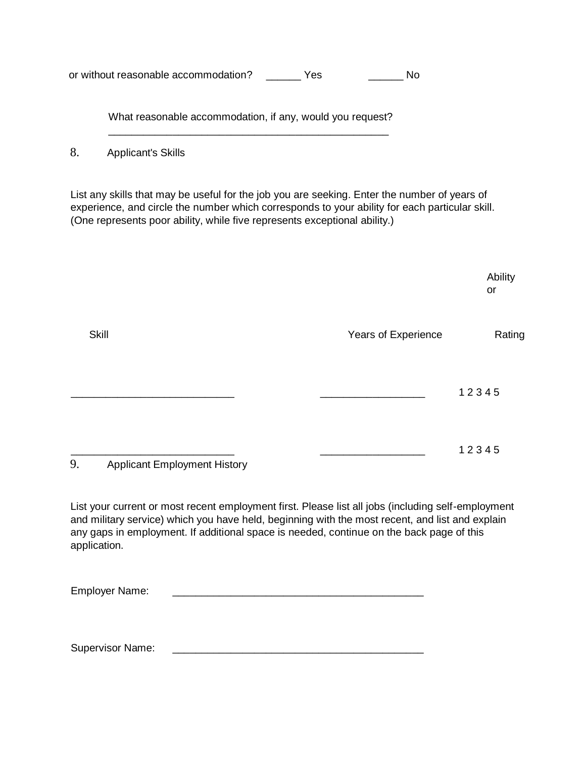or without reasonable accommodation? \_\_\_\_\_\_ Yes \_\_\_\_\_\_\_ No

What reasonable accommodation, if any, would you request? \_\_\_\_\_\_\_\_\_\_\_\_\_\_\_\_\_\_\_\_\_\_\_\_\_\_\_\_\_\_\_\_\_\_\_\_\_\_\_\_\_\_\_\_\_\_\_\_

8. Applicant's Skills

List any skills that may be useful for the job you are seeking. Enter the number of years of experience, and circle the number which corresponds to your ability for each particular skill. (One represents poor ability, while five represents exceptional ability.)

|                                           |                     | Ability<br>or |
|-------------------------------------------|---------------------|---------------|
| <b>Skill</b>                              | Years of Experience | Rating        |
|                                           |                     | 12345         |
| 9.<br><b>Applicant Employment History</b> |                     | 12345         |

List your current or most recent employment first. Please list all jobs (including self-employment and military service) which you have held, beginning with the most recent, and list and explain any gaps in employment. If additional space is needed, continue on the back page of this application.

Employer Name:

Supervisor Name: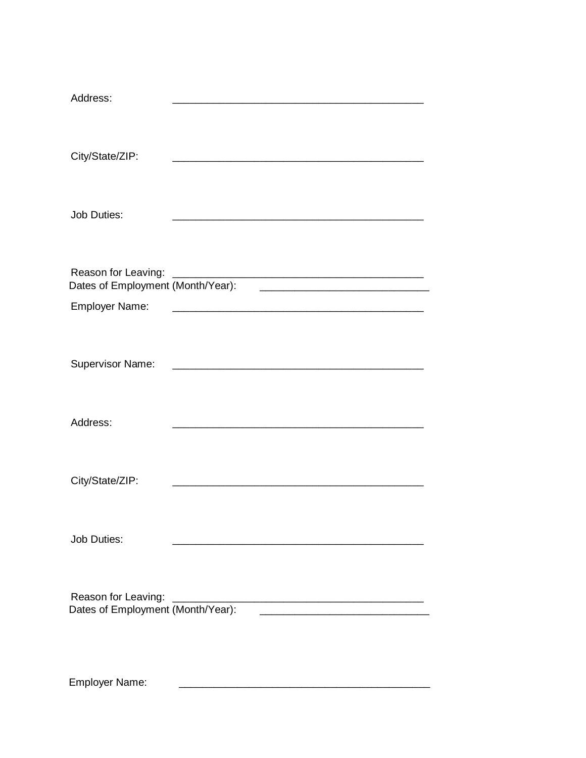| Address:                          |  |
|-----------------------------------|--|
| City/State/ZIP:                   |  |
| <b>Job Duties:</b>                |  |
| Reason for Leaving:               |  |
| <b>Employer Name:</b>             |  |
| <b>Supervisor Name:</b>           |  |
| Address:                          |  |
| City/State/ZIP:                   |  |
| <b>Job Duties:</b>                |  |
| Reason for Leaving:               |  |
| Dates of Employment (Month/Year): |  |
|                                   |  |

Employer Name: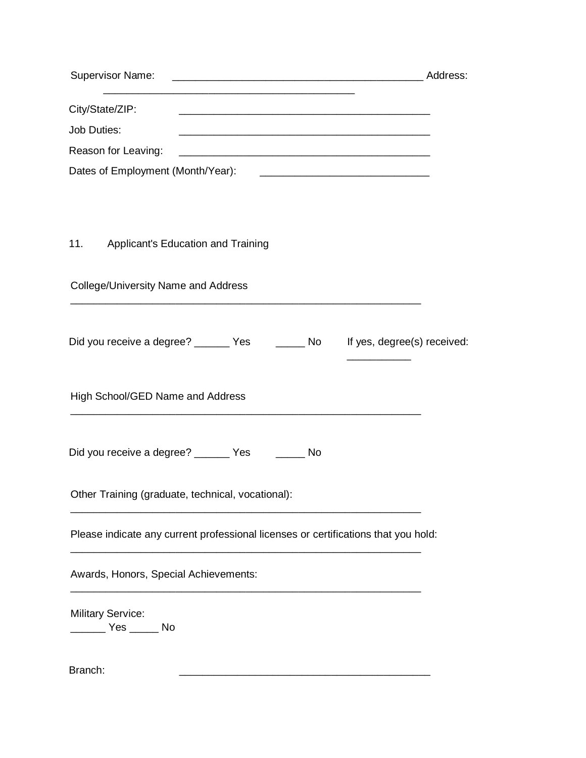| <b>Supervisor Name:</b><br><u> 1999 - Johann John Stone, mars et al. 1999 - John Stone, mars et al. 1999 - John Stone, mars et al. 1999 - Joh</u> | Address: |
|---------------------------------------------------------------------------------------------------------------------------------------------------|----------|
| City/State/ZIP:                                                                                                                                   |          |
| Job Duties:                                                                                                                                       |          |
| Reason for Leaving:                                                                                                                               |          |
| Dates of Employment (Month/Year):                                                                                                                 |          |
|                                                                                                                                                   |          |
| 11. Applicant's Education and Training                                                                                                            |          |
| <b>College/University Name and Address</b>                                                                                                        |          |
| Did you receive a degree? ______ Yes ______ No lf yes, degree(s) received:                                                                        |          |
| High School/GED Name and Address                                                                                                                  |          |
| Did you receive a degree? _______ Yes ______<br>No                                                                                                |          |
| Other Training (graduate, technical, vocational):                                                                                                 |          |
| Please indicate any current professional licenses or certifications that you hold:                                                                |          |
| Awards, Honors, Special Achievements:                                                                                                             |          |
| <b>Military Service:</b>                                                                                                                          |          |
| Branch:                                                                                                                                           |          |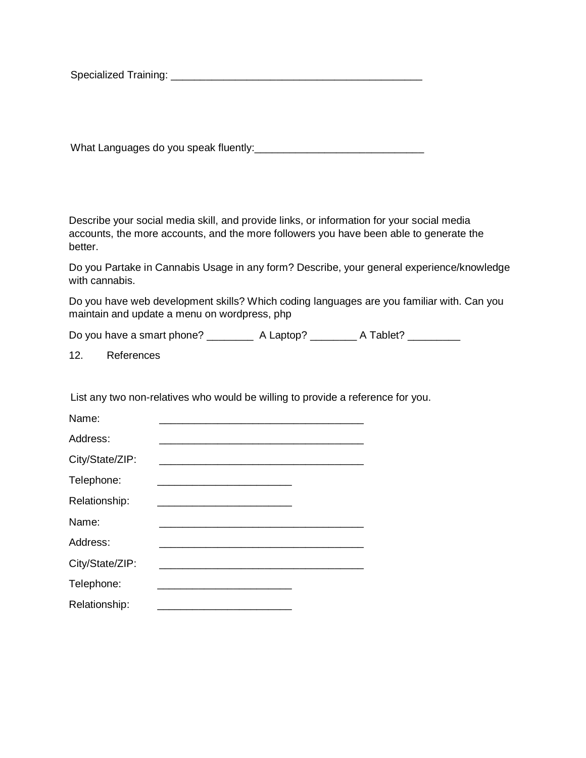Specialized Training: \_\_\_\_\_\_\_\_\_\_\_\_\_\_\_\_\_\_\_\_\_\_\_\_\_\_\_\_\_\_\_\_\_\_\_\_\_\_\_\_\_\_\_

What Languages do you speak fluently: University Assembly and Languages of the speak fluently:

Describe your social media skill, and provide links, or information for your social media accounts, the more accounts, and the more followers you have been able to generate the better.

Do you Partake in Cannabis Usage in any form? Describe, your general experience/knowledge with cannabis.

Do you have web development skills? Which coding languages are you familiar with. Can you maintain and update a menu on wordpress, php

Do you have a smart phone? \_\_\_\_\_\_\_\_\_\_\_ A Laptop? \_\_\_\_\_\_\_\_\_ A Tablet? \_\_\_\_\_\_\_\_\_\_\_

12. References

List any two non-relatives who would be willing to provide a reference for you.

| Name:           |                                                                                                                               |  |  |
|-----------------|-------------------------------------------------------------------------------------------------------------------------------|--|--|
| Address:        |                                                                                                                               |  |  |
| City/State/ZIP: |                                                                                                                               |  |  |
| Telephone:      | <u> 1989 - Johann John Stone, mars et al. 1989 - John Stone, mars et al. 1989 - John Stone, mars et al. 1989 - John Stone</u> |  |  |
| Relationship:   |                                                                                                                               |  |  |
| Name:           |                                                                                                                               |  |  |
| Address:        |                                                                                                                               |  |  |
| City/State/ZIP: |                                                                                                                               |  |  |
| Telephone:      |                                                                                                                               |  |  |
| Relationship:   |                                                                                                                               |  |  |